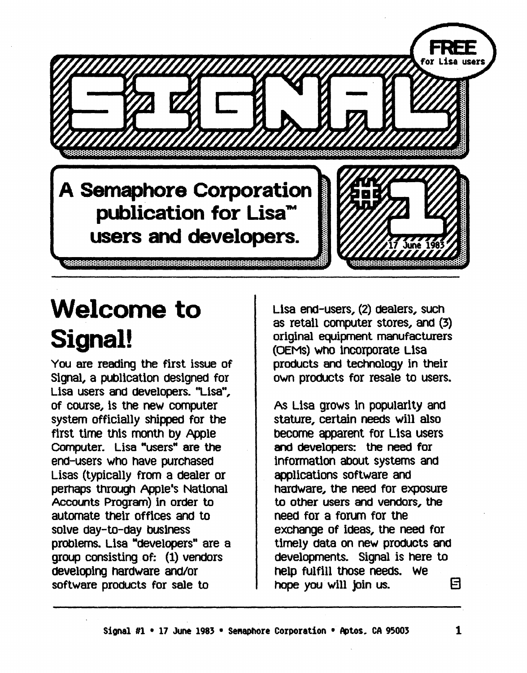

### **Welcome to Signal!**

You are reading the first issue of Signal, a publication designed for Lisa users and developers. ''Lisa'', of course, Is tne new computer system officially shipped for the first time this month by Apple Computer. Lisa "users" are the end-users who have purchased Lisas (typically from a dealer or perhaps through Apple's National Accounts Program) in order to automate their offices and to solve day-to-day bUsiness problems. Lisa "developers" are a group consisting of: (1) vendors developIng hardWare and/or software products for sale to

Lisa end-users, (2) dealers, such as retail computer stores, and (3) original equipment manufacturers (OEMS) wno incorporate Lisa products and technology in their own products for resale to users.

As Lisa grows in popularity and stature, certain needs will also oecome apparent for LIsa users and developers: the need for information about systems and applications software and hardware, the need for exposure to other users and vendors, the need for a fonm for the eXChange of ideas, the need for timely data on new products and developments. Signal is here to help fulflll thOse needs. We hope you will join us.  $\Box$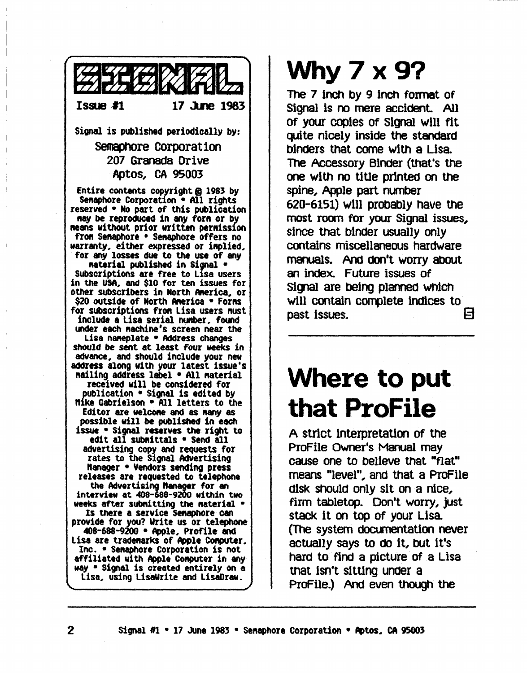

### Why 7 x 9?

The 7 inch by 9 inch format of Signal is no mere accident. All Of your copies Of Signal will fit quite nicely inside the standard binders that come with a Lisa. The Accessory BInder (that's the one wIth no tlUe printed on the spine, Apple part number 620-6151) will prObably have the most room for your Signal issues, since that binder usually only contains miscellaneous hardware manuals. Ana don't worry abOUt an index. Future issues of Signal are being planned wniCh will contain complete indices to  $\Box$ past issues.  $\Box$ 

#### Where to put **that ProFile**

A strict Interpretation of the Profile OWner's Manual may cause one to believe that "flat" means "level", and that a Profile disk should only sit on a nice, firm tabletop. Don't worry, just stack It on top of your LIsa (The system docUmentation never actually says· to dO It, but It's hard to find a picture of a Lisa mat Isn't sItting unaer a Profile.) And even though the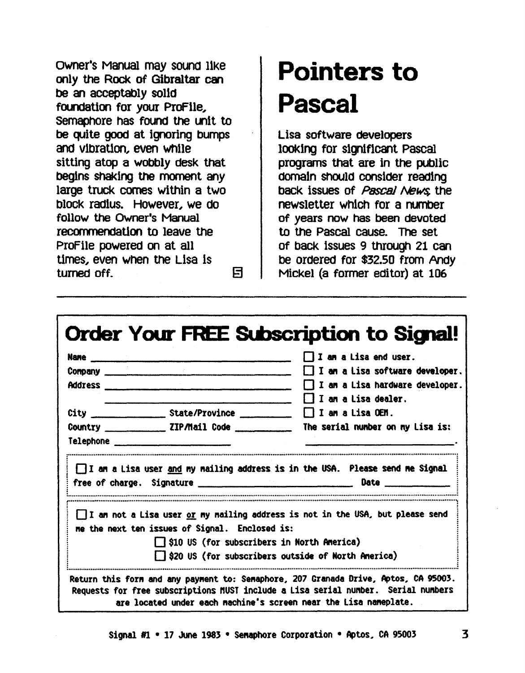Owner's Manual may sound like only the Rock of Gibraltar can be an acceptably solid foundation for your ProFile, Semaphore has found the unit to be quite good at ignoring bumps and vibration, even while sitting atop a wobbly desk that begins Shaking the moment any large truck comes within a two blocK radius. However, we do follow the OWner's Manual recommendation to leave the Profile powered on at all Umes, even wnen the LIsa Is turned off. §

### Pointers to Pascal

Lisa software developers lOOkIng for sIgnIficant Pascal programs that are in the public domaIn should consider reading back issues of *Pascal News* the newsletter whICh for a number of years now has been devoted to the Pascal cause. The set of back issues 9 through 21 can be ordered for \$32.50 from Andy Mickel (a former editor) at 106

| <b>Name</b>         | <u> 2000 - 2000 - 2000 - 2000 - 2000 - 2000 - 2000 - 2000 - 2000 - 2000 - 2000 - 2000 - 2000 - 2000 - 2000 - 200</u>                                                                                                                                                                                                                                                                                          | $\Box$ I am a Lisa end user.                                                                |
|---------------------|---------------------------------------------------------------------------------------------------------------------------------------------------------------------------------------------------------------------------------------------------------------------------------------------------------------------------------------------------------------------------------------------------------------|---------------------------------------------------------------------------------------------|
|                     |                                                                                                                                                                                                                                                                                                                                                                                                               | I I an a Lisa software developer.                                                           |
| Address ___________ |                                                                                                                                                                                                                                                                                                                                                                                                               | I am a Lisa hardware developer.                                                             |
|                     |                                                                                                                                                                                                                                                                                                                                                                                                               | I I an a Lisa dealer.                                                                       |
|                     | City $\frac{1}{\sqrt{1-\frac{1}{2}}}\int \frac{1}{\sqrt{1-\frac{1}{2}}}\sin \frac{1}{2}x \sin \frac{1}{2}x \sin \frac{1}{2}x \sin \frac{1}{2}x \sin \frac{1}{2}x \sin \frac{1}{2}x \sin \frac{1}{2}x \sin \frac{1}{2}x \sin \frac{1}{2}x \sin \frac{1}{2}x \sin \frac{1}{2}x \sin \frac{1}{2}x \sin \frac{1}{2}x \sin \frac{1}{2}x \sin \frac{1}{2}x \sin \frac{1}{2}x \sin \frac{1}{2}x \sin \frac{1}{2}x \$ |                                                                                             |
|                     |                                                                                                                                                                                                                                                                                                                                                                                                               | Country ___________________ ZIP/Mail Code ________________ The serial number on my Lisa is: |
|                     | <b>Telephone Example 20</b>                                                                                                                                                                                                                                                                                                                                                                                   |                                                                                             |
|                     |                                                                                                                                                                                                                                                                                                                                                                                                               |                                                                                             |
|                     |                                                                                                                                                                                                                                                                                                                                                                                                               | I I an not a Lisa user or my mailing address is not in the USA, but please send             |
|                     | me the next ten issues of Signal. Enclosed is:                                                                                                                                                                                                                                                                                                                                                                |                                                                                             |
|                     | S10 US (for subscribers in North America)                                                                                                                                                                                                                                                                                                                                                                     |                                                                                             |
|                     |                                                                                                                                                                                                                                                                                                                                                                                                               |                                                                                             |

Signal #1 • 17 June 1983 • Semaphore Corporation • Aptos, CA 95003  $3$